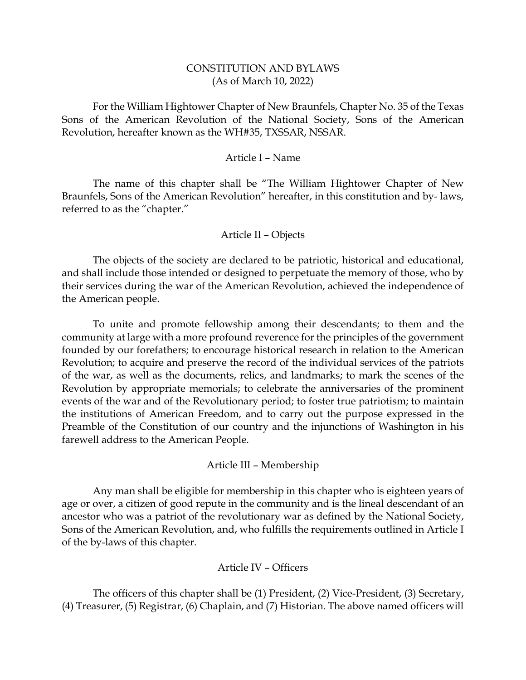## CONSTITUTION AND BYLAWS (As of March 10, 2022)

For the William Hightower Chapter of New Braunfels, Chapter No. 35 of the Texas Sons of the American Revolution of the National Society, Sons of the American Revolution, hereafter known as the WH#35, TXSSAR, NSSAR.

### Article I – Name

The name of this chapter shall be "The William Hightower Chapter of New Braunfels, Sons of the American Revolution" hereafter, in this constitution and by- laws, referred to as the "chapter."

### Article II – Objects

The objects of the society are declared to be patriotic, historical and educational, and shall include those intended or designed to perpetuate the memory of those, who by their services during the war of the American Revolution, achieved the independence of the American people.

To unite and promote fellowship among their descendants; to them and the community at large with a more profound reverence for the principles of the government founded by our forefathers; to encourage historical research in relation to the American Revolution; to acquire and preserve the record of the individual services of the patriots of the war, as well as the documents, relics, and landmarks; to mark the scenes of the Revolution by appropriate memorials; to celebrate the anniversaries of the prominent events of the war and of the Revolutionary period; to foster true patriotism; to maintain the institutions of American Freedom, and to carry out the purpose expressed in the Preamble of the Constitution of our country and the injunctions of Washington in his farewell address to the American People.

### Article III – Membership

Any man shall be eligible for membership in this chapter who is eighteen years of age or over, a citizen of good repute in the community and is the lineal descendant of an ancestor who was a patriot of the revolutionary war as defined by the National Society, Sons of the American Revolution, and, who fulfills the requirements outlined in Article I of the by-laws of this chapter.

### Article IV – Officers

The officers of this chapter shall be (1) President, (2) Vice-President, (3) Secretary, (4) Treasurer, (5) Registrar, (6) Chaplain, and (7) Historian. The above named officers will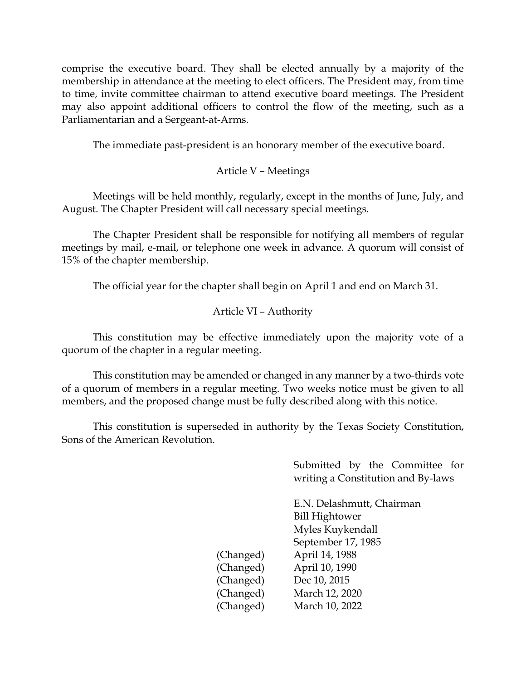comprise the executive board. They shall be elected annually by a majority of the membership in attendance at the meeting to elect officers. The President may, from time to time, invite committee chairman to attend executive board meetings. The President may also appoint additional officers to control the flow of the meeting, such as a Parliamentarian and a Sergeant-at-Arms.

The immediate past-president is an honorary member of the executive board.

# Article V – Meetings

Meetings will be held monthly, regularly, except in the months of June, July, and August. The Chapter President will call necessary special meetings.

The Chapter President shall be responsible for notifying all members of regular meetings by mail, e-mail, or telephone one week in advance. A quorum will consist of 15% of the chapter membership.

The official year for the chapter shall begin on April 1 and end on March 31.

# Article VI – Authority

This constitution may be effective immediately upon the majority vote of a quorum of the chapter in a regular meeting.

This constitution may be amended or changed in any manner by a two-thirds vote of a quorum of members in a regular meeting. Two weeks notice must be given to all members, and the proposed change must be fully described along with this notice.

This constitution is superseded in authority by the Texas Society Constitution, Sons of the American Revolution.

> Submitted by the Committee for writing a Constitution and By-laws

E.N. Delashmutt, Chairman Bill Hightower Myles Kuykendall September 17, 1985 (Changed) April 14, 1988 (Changed) April 10, 1990 (Changed) Dec 10, 2015 (Changed) March 12, 2020 (Changed) March 10, 2022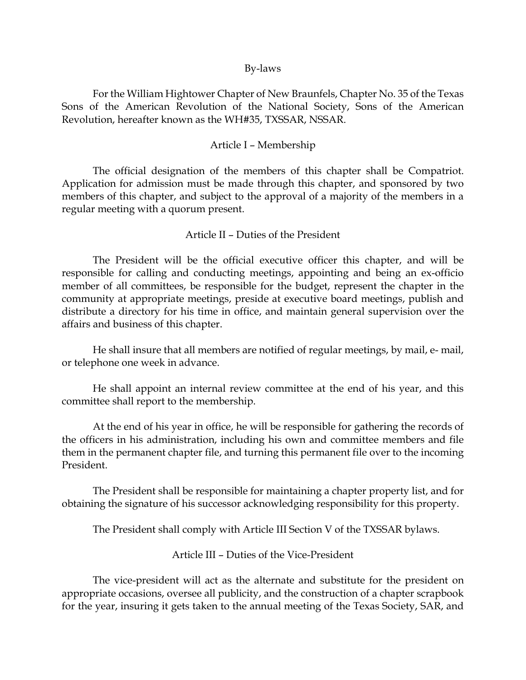#### By-laws

For the William Hightower Chapter of New Braunfels, Chapter No. 35 of the Texas Sons of the American Revolution of the National Society, Sons of the American Revolution, hereafter known as the WH#35, TXSSAR, NSSAR.

## Article I – Membership

The official designation of the members of this chapter shall be Compatriot. Application for admission must be made through this chapter, and sponsored by two members of this chapter, and subject to the approval of a majority of the members in a regular meeting with a quorum present.

### Article II – Duties of the President

The President will be the official executive officer this chapter, and will be responsible for calling and conducting meetings, appointing and being an ex-officio member of all committees, be responsible for the budget, represent the chapter in the community at appropriate meetings, preside at executive board meetings, publish and distribute a directory for his time in office, and maintain general supervision over the affairs and business of this chapter.

He shall insure that all members are notified of regular meetings, by mail, e- mail, or telephone one week in advance.

He shall appoint an internal review committee at the end of his year, and this committee shall report to the membership.

At the end of his year in office, he will be responsible for gathering the records of the officers in his administration, including his own and committee members and file them in the permanent chapter file, and turning this permanent file over to the incoming President.

The President shall be responsible for maintaining a chapter property list, and for obtaining the signature of his successor acknowledging responsibility for this property.

The President shall comply with Article III Section V of the TXSSAR bylaws.

Article III – Duties of the Vice-President

The vice-president will act as the alternate and substitute for the president on appropriate occasions, oversee all publicity, and the construction of a chapter scrapbook for the year, insuring it gets taken to the annual meeting of the Texas Society, SAR, and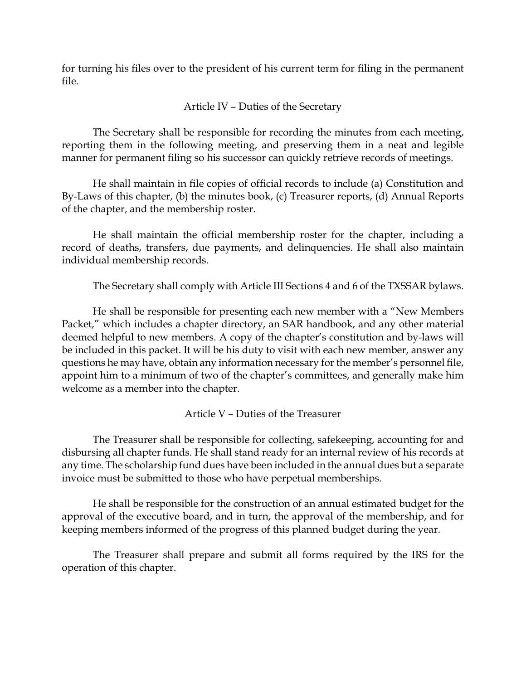for turning his files over to the president of his current term for filing in the permanent file.

# Article IV – Duties of the Secretary

The Secretary shall be responsible for recording the minutes from each meeting, reporting them in the following meeting, and preserving them in a neat and legible manner for permanent filing so his successor can quickly retrieve records of meetings.

He shall maintain in file copies of official records to include (a) Constitution and By-Laws of this chapter, (b) the minutes book, (c) Treasurer reports, (d) Annual Reports of the chapter, and the membership roster.

He shall maintain the official membership roster for the chapter, including a record of deaths, transfers, due payments, and delinquencies. He shall also maintain individual membership records.

The Secretary shall comply with Article III Sections 4 and 6 of the TXSSAR bylaws.

He shall be responsible for presenting each new member with a "New Members Packet," which includes a chapter directory, an SAR handbook, and any other material deemed helpful to new members. A copy of the chapter's constitution and by-laws will be included in this packet. It will be his duty to visit with each new member, answer any questions he may have, obtain any information necessary for the member's personnel file, appoint him to a minimum of two of the chapter's committees, and generally make him welcome as a member into the chapter.

Article V – Duties of the Treasurer

The Treasurer shall be responsible for collecting, safekeeping, accounting for and disbursing all chapter funds. He shall stand ready for an internal review of his records at any time. The scholarship fund dues have been included in the annual dues but a separate invoice must be submitted to those who have perpetual memberships.

He shall be responsible for the construction of an annual estimated budget for the approval of the executive board, and in turn, the approval of the membership, and for keeping members informed of the progress of this planned budget during the year.

The Treasurer shall prepare and submit all forms required by the IRS for the operation of this chapter.